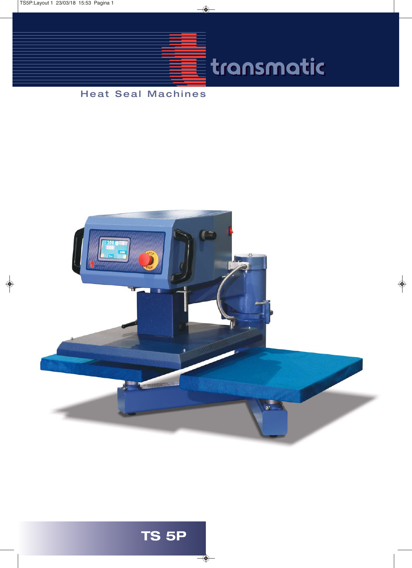TS5P:Layout 1 23/03/18 15:53 Pagina 1

 $\begin{array}{c} \n\downarrow \\
\hline\n\end{array}$ 



### Heat Seal Machines



 $\rightarrow$ 

# **TS 5P**

❤